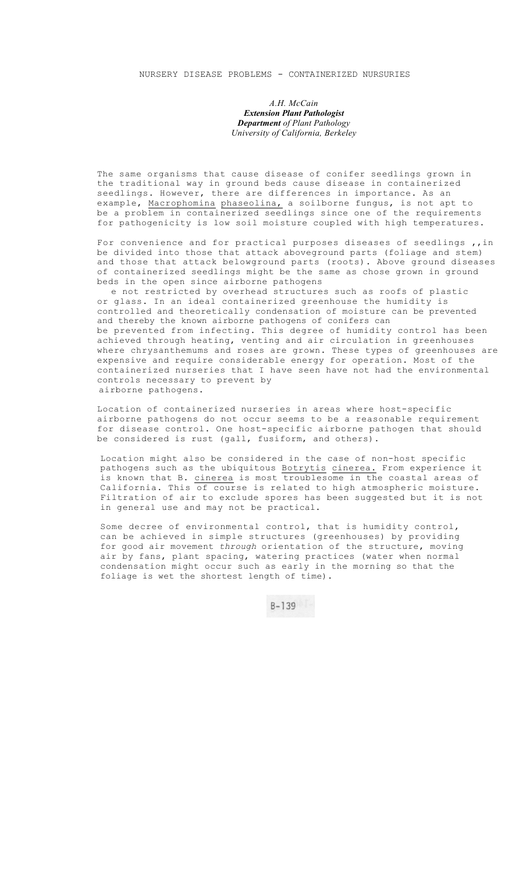*A.H. McCain Extension Plant Pathologist Department of Plant Pathology University of California, Berkeley* 

The same organisms that cause disease of conifer seedlings grown in the traditional way in ground beds cause disease in containerized seedlings. However, there are differences in importance. As an example, Macrophomina phaseolina, a soilborne fungus, is not apt to be a problem in containerized seedlings since one of the requirements for pathogenicity is low soil moisture coupled with high temperatures.

For convenience and for practical purposes diseases of seedlings ,, in be divided into those that attack aboveground parts (foliage and stem) and those that attack belowground parts (roots). Above ground diseases of containerized seedlings might be the same as chose grown in ground beds in the open since airborne pathogens

e not restricted by overhead structures such as roofs of plastic or glass. In an ideal containerized greenhouse the humidity is controlled and theoretically condensation of moisture can be prevented and thereby the known airborne pathogens of conifers can be prevented from infecting. This degree of humidity control has been achieved through heating, venting and air circulation in greenhouses where chrysanthemums and roses are grown. These types of greenhouses are expensive and require considerable energy for operation. Most of the containerized nurseries that I have seen have not had the environmental controls necessary to prevent by airborne pathogens.

Location of containerized nurseries in areas where host-specific airborne pathogens do not occur seems to be a reasonable requirement for disease control. One host-specific airborne pathogen that should be considered is rust (gall, fusiform, and others).

Location might also be considered in the case of non-host specific pathogens such as the ubiquitous Botrytis cinerea. From experience it is known that B. cinerea is most troublesome in the coastal areas of California. This of course is related to high atmospheric moisture. Filtration of air to exclude spores has been suggested but it is not in general use and may not be practical.

Some decree of environmental control, that is humidity control, can be achieved in simple structures (greenhouses) by providing for good air movement *through* orientation of the structure, moving air by fans, plant spacing, watering practices (water when normal condensation might occur such as early in the morning so that the foliage is wet the shortest length of time).

 $B-139$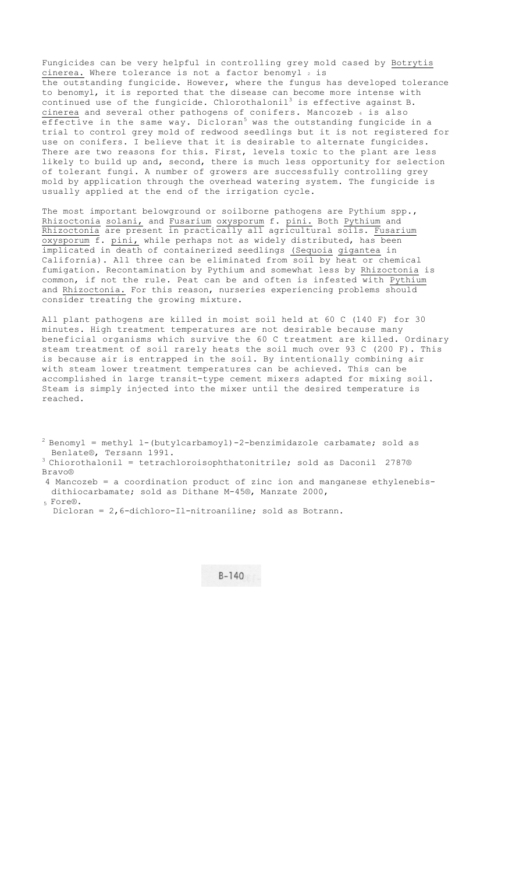Fungicides can be very helpful in controlling grey mold cased by Botrytis cinerea. Where tolerance is not a factor benomyl  $2$  is the outstanding fungicide. However, where the fungus has developed tolerance to benomyl, it is reported that the disease can become more intense with continued use of the fungicide. Chlorothalonil<sup>3</sup> is effective against B. cinerea and several other pathogens of conifers. Mancozeb 4 is also effective in the same way. Dicloran<sup>5</sup> was the outstanding fungicide in a trial to control grey mold of redwood seedlings but it is not registered for use on conifers. I believe that it is desirable to alternate fungicides. There are two reasons for this. First, levels toxic to the plant are less likely to build up and, second, there is much less opportunity for selection of tolerant fungi. A number of growers are successfully controlling grey mold by application through the overhead watering system. The fungicide is usually applied at the end of the irrigation cycle.

The most important belowground or soilborne pathogens are Pythium spp., Rhizoctonia solani, and Fusarium oxysporum f. pini. Both Pythium and Rhizoctonia are present in practically all agricultural soils. Fusarium oxysporum f. pini, while perhaps not as widely distributed, has been implicated in death of containerized seedlings (Sequoia gigantea in California). All three can be eliminated from soil by heat or chemical fumigation. Recontamination by Pythium and somewhat less by Rhizoctonia is common, if not the rule. Peat can be and often is infested with Pythium and Rhizoctonia. For this reason, nurseries experiencing problems should consider treating the growing mixture.

All plant pathogens are killed in moist soil held at 60 C (140 F) for 30 minutes. High treatment temperatures are not desirable because many beneficial organisms which survive the 60 C treatment are killed. Ordinary steam treatment of soil rarely heats the soil much over 93 C (200 F). This is because air is entrapped in the soil. By intentionally combining air with steam lower treatment temperatures can be achieved. This can be accomplished in large transit-type cement mixers adapted for mixing soil. Steam is simply injected into the mixer until the desired temperature is reached.

 $2$  Benomyl = methyl 1-(butylcarbamoyl)-2-benzimidazole carbamate; sold as

Benlate®, Tersann 1991.<br><sup>3</sup> Chiorothalonil = tetrachloroisophthatonitrile; sold as Daconil 2787® Bravo®

 4 Mancozeb = a coordination product of zinc ion and manganese ethylenebisdithiocarbamate; sold as Dithane M-45®, Manzate 2000,

5 Fore®.

Dicloran = 2,6-dichloro-Il-nitroaniline; sold as Botrann.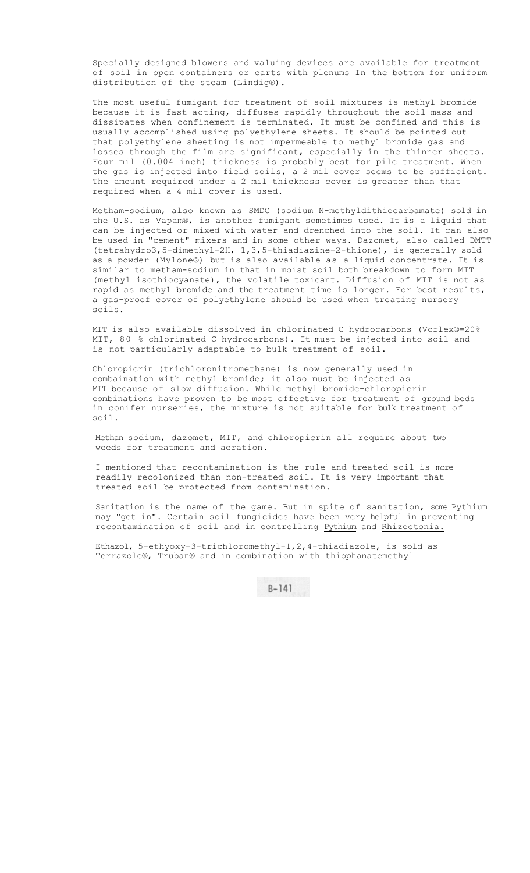Specially designed blowers and valuing devices are available for treatment of soil in open containers or carts with plenums In the bottom for uniform distribution of the steam (Lindig®).

The most useful fumigant for treatment of soil mixtures is methyl bromide because it is fast acting, diffuses rapidly throughout the soil mass and dissipates when confinement is terminated. It must be confined and this is usually accomplished using polyethylene sheets. It should be pointed out that polyethylene sheeting is not impermeable to methyl bromide gas and losses through the film are significant, especially in the thinner sheets. Four mil (0.004 inch) thickness is probably best for pile treatment. When the gas is injected into field soils, a 2 mil cover seems to be sufficient. The amount required under a 2 mil thickness cover is greater than that required when a 4 mil cover is used.

Metham-sodium, also known as SMDC (sodium N-methyldithiocarbamate) sold in the U.S. as Vapam®, is another fumigant sometimes used. It is a liquid that can be injected or mixed with water and drenched into the soil. It can also be used in "cement" mixers and in some other ways. Dazomet, also called DMTT (tetrahydro3,5-dimethyl-2H, 1,3,5-thiadiazine-2-thione), is generally sold as a powder (Mylone®) but is also available as a liquid concentrate. It is similar to metham-sodium in that in moist soil both breakdown to form MIT (methyl isothiocyanate), the volatile toxicant. Diffusion of MIT is not as rapid as methyl bromide and the treatment time is longer. For best results, a gas-proof cover of polyethylene should be used when treating nursery soils.

MIT is also available dissolved in chlorinated C hydrocarbons (Vorlex®=20% MIT, 80 % chlorinated C hydrocarbons). It must be injected into soil and is not particularly adaptable to bulk treatment of soil.

Chloropicrin (trichloronitromethane) is now generally used in combaination with methyl bromide; it also must be injected as MIT because of slow diffusion. While methyl bromide-chloropicrin combinations have proven to be most effective for treatment of ground beds in conifer nurseries, the mixture is not suitable for bulk treatment of soil.

Methan sodium, dazomet, MIT, and chloropicrin all require about two weeds for treatment and aeration.

I mentioned that recontamination is the rule and treated soil is more readily recolonized than non-treated soil. It is very important that treated soil be protected from contamination.

Sanitation is the name of the game. But in spite of sanitation, some Pythium may "get in". Certain soil fungicides have been very helpful in preventing recontamination of soil and in controlling Pythium and Rhizoctonia.

Ethazol, 5-ethyoxy-3-trichloromethyl-1,2,4-thiadiazole, is sold as Terrazole®, Truban® and in combination with thiophanatemethyl

 $B-141$